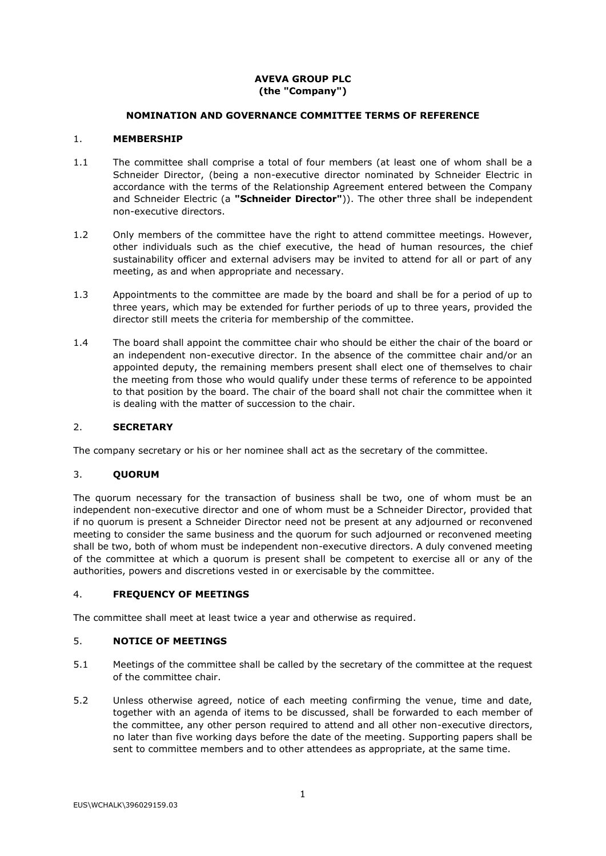# **AVEVA GROUP PLC (the "Company")**

### **NOMINATION AND GOVERNANCE COMMITTEE TERMS OF REFERENCE**

### 1. **MEMBERSHIP**

- 1.1 The committee shall comprise a total of four members (at least one of whom shall be a Schneider Director, (being a non-executive director nominated by Schneider Electric in accordance with the terms of the Relationship Agreement entered between the Company and Schneider Electric (a **"Schneider Director"**)). The other three shall be independent non-executive directors.
- 1.2 Only members of the committee have the right to attend committee meetings. However, other individuals such as the chief executive, the head of human resources, the chief sustainability officer and external advisers may be invited to attend for all or part of any meeting, as and when appropriate and necessary.
- 1.3 Appointments to the committee are made by the board and shall be for a period of up to three years, which may be extended for further periods of up to three years, provided the director still meets the criteria for membership of the committee.
- 1.4 The board shall appoint the committee chair who should be either the chair of the board or an independent non-executive director. In the absence of the committee chair and/or an appointed deputy, the remaining members present shall elect one of themselves to chair the meeting from those who would qualify under these terms of reference to be appointed to that position by the board. The chair of the board shall not chair the committee when it is dealing with the matter of succession to the chair.

### 2. **SECRETARY**

The company secretary or his or her nominee shall act as the secretary of the committee.

#### 3. **QUORUM**

The quorum necessary for the transaction of business shall be two, one of whom must be an independent non-executive director and one of whom must be a Schneider Director, provided that if no quorum is present a Schneider Director need not be present at any adjourned or reconvened meeting to consider the same business and the quorum for such adjourned or reconvened meeting shall be two, both of whom must be independent non-executive directors. A duly convened meeting of the committee at which a quorum is present shall be competent to exercise all or any of the authorities, powers and discretions vested in or exercisable by the committee.

#### 4. **FREQUENCY OF MEETINGS**

The committee shall meet at least twice a year and otherwise as required.

# 5. **NOTICE OF MEETINGS**

- 5.1 Meetings of the committee shall be called by the secretary of the committee at the request of the committee chair.
- 5.2 Unless otherwise agreed, notice of each meeting confirming the venue, time and date, together with an agenda of items to be discussed, shall be forwarded to each member of the committee, any other person required to attend and all other non-executive directors, no later than five working days before the date of the meeting. Supporting papers shall be sent to committee members and to other attendees as appropriate, at the same time.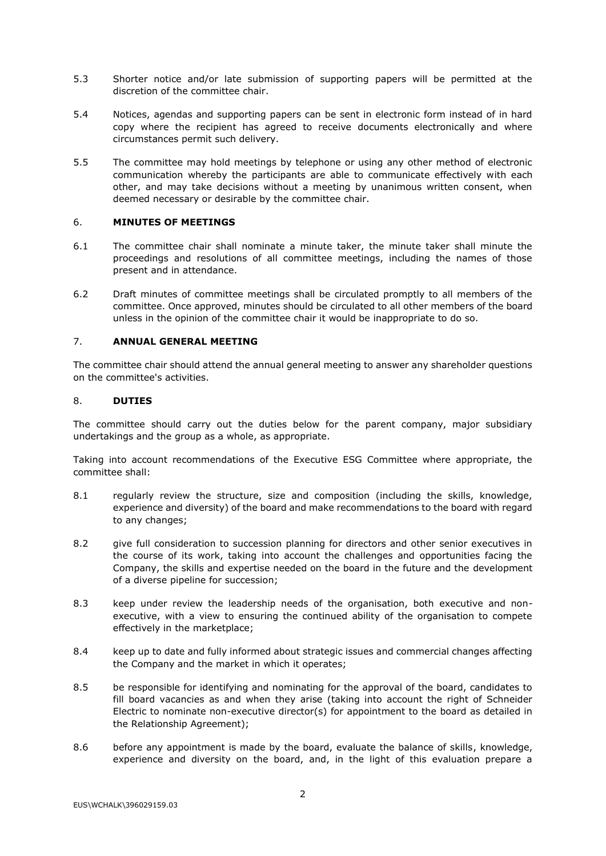- 5.3 Shorter notice and/or late submission of supporting papers will be permitted at the discretion of the committee chair.
- 5.4 Notices, agendas and supporting papers can be sent in electronic form instead of in hard copy where the recipient has agreed to receive documents electronically and where circumstances permit such delivery.
- 5.5 The committee may hold meetings by telephone or using any other method of electronic communication whereby the participants are able to communicate effectively with each other, and may take decisions without a meeting by unanimous written consent, when deemed necessary or desirable by the committee chair.

#### 6. **MINUTES OF MEETINGS**

- 6.1 The committee chair shall nominate a minute taker, the minute taker shall minute the proceedings and resolutions of all committee meetings, including the names of those present and in attendance.
- 6.2 Draft minutes of committee meetings shall be circulated promptly to all members of the committee. Once approved, minutes should be circulated to all other members of the board unless in the opinion of the committee chair it would be inappropriate to do so.

# 7. **ANNUAL GENERAL MEETING**

The committee chair should attend the annual general meeting to answer any shareholder questions on the committee's activities.

#### 8. **DUTIES**

The committee should carry out the duties below for the parent company, major subsidiary undertakings and the group as a whole, as appropriate.

Taking into account recommendations of the Executive ESG Committee where appropriate, the committee shall:

- 8.1 regularly review the structure, size and composition (including the skills, knowledge, experience and diversity) of the board and make recommendations to the board with regard to any changes;
- 8.2 give full consideration to succession planning for directors and other senior executives in the course of its work, taking into account the challenges and opportunities facing the Company, the skills and expertise needed on the board in the future and the development of a diverse pipeline for succession;
- 8.3 keep under review the leadership needs of the organisation, both executive and nonexecutive, with a view to ensuring the continued ability of the organisation to compete effectively in the marketplace;
- 8.4 keep up to date and fully informed about strategic issues and commercial changes affecting the Company and the market in which it operates;
- 8.5 be responsible for identifying and nominating for the approval of the board, candidates to fill board vacancies as and when they arise (taking into account the right of Schneider Electric to nominate non-executive director(s) for appointment to the board as detailed in the Relationship Agreement);
- 8.6 before any appointment is made by the board, evaluate the balance of skills, knowledge, experience and diversity on the board, and, in the light of this evaluation prepare a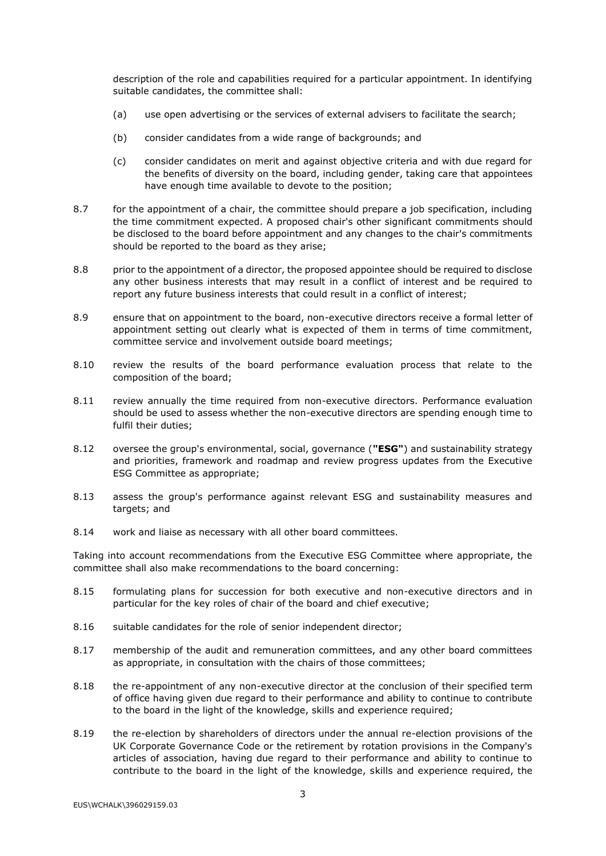description of the role and capabilities required for a particular appointment. In identifying suitable candidates, the committee shall:

- (a) use open advertising or the services of external advisers to facilitate the search;
- (b) consider candidates from a wide range of backgrounds; and
- (c) consider candidates on merit and against objective criteria and with due regard for the benefits of diversity on the board, including gender, taking care that appointees have enough time available to devote to the position;
- 8.7 for the appointment of a chair, the committee should prepare a job specification, including the time commitment expected. A proposed chair's other significant commitments should be disclosed to the board before appointment and any changes to the chair's commitments should be reported to the board as they arise;
- 8.8 prior to the appointment of a director, the proposed appointee should be required to disclose any other business interests that may result in a conflict of interest and be required to report any future business interests that could result in a conflict of interest;
- 8.9 ensure that on appointment to the board, non-executive directors receive a formal letter of appointment setting out clearly what is expected of them in terms of time commitment, committee service and involvement outside board meetings;
- 8.10 review the results of the board performance evaluation process that relate to the composition of the board;
- 8.11 review annually the time required from non-executive directors. Performance evaluation should be used to assess whether the non-executive directors are spending enough time to fulfil their duties;
- 8.12 oversee the group's environmental, social, governance (**"ESG"**) and sustainability strategy and priorities, framework and roadmap and review progress updates from the Executive ESG Committee as appropriate;
- 8.13 assess the group's performance against relevant ESG and sustainability measures and targets; and
- 8.14 work and liaise as necessary with all other board committees.

Taking into account recommendations from the Executive ESG Committee where appropriate, the committee shall also make recommendations to the board concerning:

- 8.15 formulating plans for succession for both executive and non-executive directors and in particular for the key roles of chair of the board and chief executive;
- 8.16 suitable candidates for the role of senior independent director;
- 8.17 membership of the audit and remuneration committees, and any other board committees as appropriate, in consultation with the chairs of those committees;
- 8.18 the re-appointment of any non-executive director at the conclusion of their specified term of office having given due regard to their performance and ability to continue to contribute to the board in the light of the knowledge, skills and experience required;
- 8.19 the re-election by shareholders of directors under the annual re-election provisions of the UK Corporate Governance Code or the retirement by rotation provisions in the Company's articles of association, having due regard to their performance and ability to continue to contribute to the board in the light of the knowledge, skills and experience required, the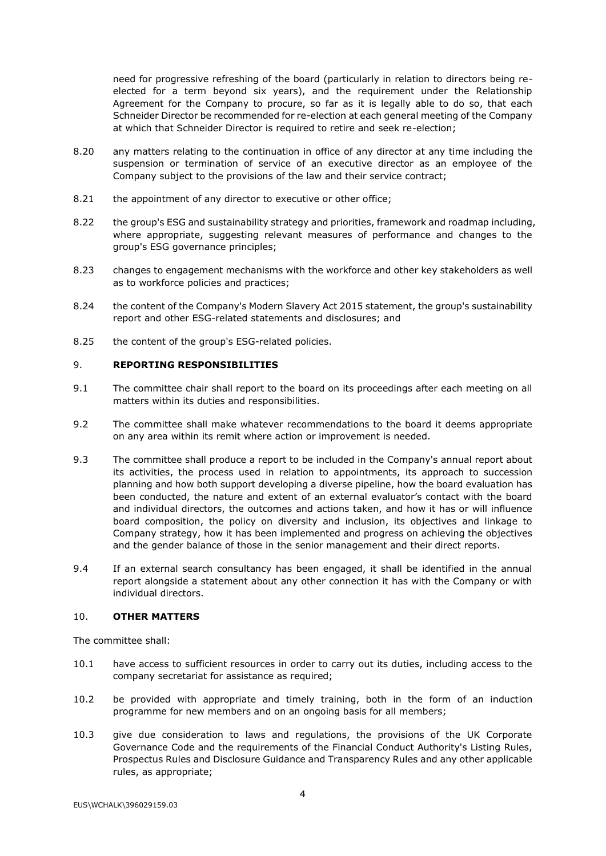need for progressive refreshing of the board (particularly in relation to directors being reelected for a term beyond six years), and the requirement under the Relationship Agreement for the Company to procure, so far as it is legally able to do so, that each Schneider Director be recommended for re-election at each general meeting of the Company at which that Schneider Director is required to retire and seek re-election;

- 8.20 any matters relating to the continuation in office of any director at any time including the suspension or termination of service of an executive director as an employee of the Company subject to the provisions of the law and their service contract;
- 8.21 the appointment of any director to executive or other office;
- 8.22 the group's ESG and sustainability strategy and priorities, framework and roadmap including, where appropriate, suggesting relevant measures of performance and changes to the group's ESG governance principles;
- 8.23 changes to engagement mechanisms with the workforce and other key stakeholders as well as to workforce policies and practices;
- 8.24 the content of the Company's Modern Slavery Act 2015 statement, the group's sustainability report and other ESG-related statements and disclosures; and
- 8.25 the content of the group's ESG-related policies.

#### 9. **REPORTING RESPONSIBILITIES**

- 9.1 The committee chair shall report to the board on its proceedings after each meeting on all matters within its duties and responsibilities.
- 9.2 The committee shall make whatever recommendations to the board it deems appropriate on any area within its remit where action or improvement is needed.
- 9.3 The committee shall produce a report to be included in the Company's annual report about its activities, the process used in relation to appointments, its approach to succession planning and how both support developing a diverse pipeline, how the board evaluation has been conducted, the nature and extent of an external evaluator's contact with the board and individual directors, the outcomes and actions taken, and how it has or will influence board composition, the policy on diversity and inclusion, its objectives and linkage to Company strategy, how it has been implemented and progress on achieving the objectives and the gender balance of those in the senior management and their direct reports.
- 9.4 If an external search consultancy has been engaged, it shall be identified in the annual report alongside a statement about any other connection it has with the Company or with individual directors.

### 10. **OTHER MATTERS**

The committee shall:

- 10.1 have access to sufficient resources in order to carry out its duties, including access to the company secretariat for assistance as required;
- 10.2 be provided with appropriate and timely training, both in the form of an induction programme for new members and on an ongoing basis for all members;
- 10.3 give due consideration to laws and regulations, the provisions of the UK Corporate Governance Code and the requirements of the Financial Conduct Authority's Listing Rules, Prospectus Rules and Disclosure Guidance and Transparency Rules and any other applicable rules, as appropriate;